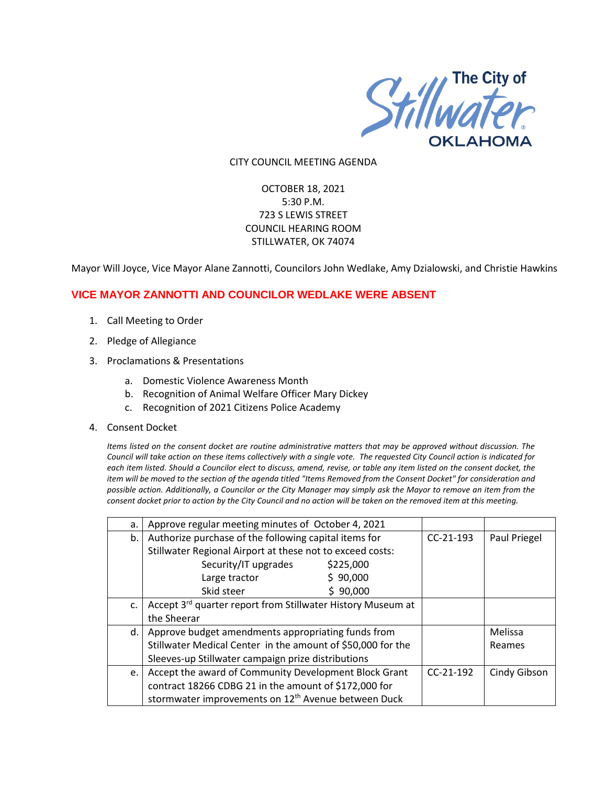

#### CITY COUNCIL MEETING AGENDA

# OCTOBER 18, 2021 5:30 P.M. 723 S LEWIS STREET COUNCIL HEARING ROOM STILLWATER, OK 74074

Mayor Will Joyce, Vice Mayor Alane Zannotti, Councilors John Wedlake, Amy Dzialowski, and Christie Hawkins

## **VICE MAYOR ZANNOTTI AND COUNCILOR WEDLAKE WERE ABSENT**

- 1. Call Meeting to Order
- 2. Pledge of Allegiance
- 3. Proclamations & Presentations
	- a. Domestic Violence Awareness Month
	- b. Recognition of Animal Welfare Officer Mary Dickey
	- c. Recognition of 2021 Citizens Police Academy
- 4. Consent Docket

*Items listed on the consent docket are routine administrative matters that may be approved without discussion. The Council will take action on these items collectively with a single vote. The requested City Council action is indicated for each item listed. Should a Councilor elect to discuss, amend, revise, or table any item listed on the consent docket, the item will be moved to the section of the agenda titled "Items Removed from the Consent Docket" for consideration and possible action. Additionally, a Councilor or the City Manager may simply ask the Mayor to remove an item from the consent docket prior to action by the City Council and no action will be taken on the removed item at this meeting.*

| a. | Approve regular meeting minutes of October 4, 2021              |             |              |
|----|-----------------------------------------------------------------|-------------|--------------|
| b. | Authorize purchase of the following capital items for           | $CC-21-193$ | Paul Priegel |
|    | Stillwater Regional Airport at these not to exceed costs:       |             |              |
|    | Security/IT upgrades<br>\$225,000                               |             |              |
|    | \$90,000<br>Large tractor                                       |             |              |
|    | Skid steer<br>90,000                                            |             |              |
| c. | Accept 3rd quarter report from Stillwater History Museum at     |             |              |
|    | the Sheerar                                                     |             |              |
| d. | Approve budget amendments appropriating funds from              |             | Melissa      |
|    | Stillwater Medical Center in the amount of \$50,000 for the     |             | Reames       |
|    | Sleeves-up Stillwater campaign prize distributions              |             |              |
| e. | Accept the award of Community Development Block Grant           | $CC-21-192$ | Cindy Gibson |
|    | contract 18266 CDBG 21 in the amount of \$172,000 for           |             |              |
|    | stormwater improvements on 12 <sup>th</sup> Avenue between Duck |             |              |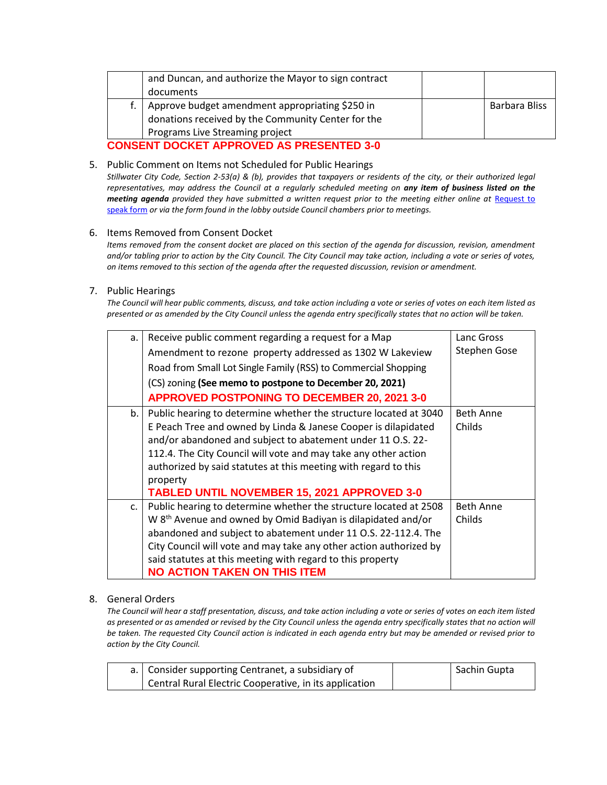|                                                 | and Duncan, and authorize the Mayor to sign contract<br>documents |  |               |
|-------------------------------------------------|-------------------------------------------------------------------|--|---------------|
|                                                 |                                                                   |  |               |
|                                                 | Approve budget amendment appropriating \$250 in                   |  | Barbara Bliss |
|                                                 | donations received by the Community Center for the                |  |               |
|                                                 | Programs Live Streaming project                                   |  |               |
| <b>CONSENT DOCKET APPROVED AS PRESENTED 3-0</b> |                                                                   |  |               |

5. Public Comment on Items not Scheduled for Public Hearings

*Stillwater City Code, Section 2-53(a) & (b), provides that taxpayers or residents of the city, or their authorized legal representatives, may address the Council at a regularly scheduled meeting on any item of business listed on the meeting agenda provided they have submitted a written request prior to the meeting either online at Request to* [speak form](http://stillwater.org/page/home/government/mayor-city-council/meetings-agendas-minutes/online-request-to-speak-at-city-council) *or via the form found in the lobby outside Council chambers prior to meetings.*

### 6. Items Removed from Consent Docket

*Items removed from the consent docket are placed on this section of the agenda for discussion, revision, amendment and/or tabling prior to action by the City Council. The City Council may take action, including a vote or series of votes, on items removed to this section of the agenda after the requested discussion, revision or amendment.*

#### 7. Public Hearings

*The Council will hear public comments, discuss, and take action including a vote or series of votes on each item listed as presented or as amended by the City Council unless the agenda entry specifically states that no action will be taken.*

| a.             | Receive public comment regarding a request for a Map                     | Lanc Gross          |
|----------------|--------------------------------------------------------------------------|---------------------|
|                | Amendment to rezone property addressed as 1302 W Lakeview                | <b>Stephen Gose</b> |
|                | Road from Small Lot Single Family (RSS) to Commercial Shopping           |                     |
|                | (CS) zoning (See memo to postpone to December 20, 2021)                  |                     |
|                | <b>APPROVED POSTPONING TO DECEMBER 20, 2021 3-0</b>                      |                     |
| b.             | Public hearing to determine whether the structure located at 3040        | <b>Beth Anne</b>    |
|                | E Peach Tree and owned by Linda & Janese Cooper is dilapidated           | Childs              |
|                | and/or abandoned and subject to abatement under 11 O.S. 22-              |                     |
|                | 112.4. The City Council will vote and may take any other action          |                     |
|                | authorized by said statutes at this meeting with regard to this          |                     |
|                | property                                                                 |                     |
|                | <b>TABLED UNTIL NOVEMBER 15, 2021 APPROVED 3-0</b>                       |                     |
| C <sub>1</sub> | Public hearing to determine whether the structure located at 2508        | <b>Beth Anne</b>    |
|                | W 8 <sup>th</sup> Avenue and owned by Omid Badiyan is dilapidated and/or | Childs              |
|                | abandoned and subject to abatement under 11 O.S. 22-112.4. The           |                     |
|                | City Council will vote and may take any other action authorized by       |                     |
|                | said statutes at this meeting with regard to this property               |                     |
|                | <b>NO ACTION TAKEN ON THIS ITEM</b>                                      |                     |

### 8. General Orders

*The Council will hear a staff presentation, discuss, and take action including a vote or series of votes on each item listed as presented or as amended or revised by the City Council unless the agenda entry specifically states that no action will be taken. The requested City Council action is indicated in each agenda entry but may be amended or revised prior to action by the City Council.* 

| a.   Consider supporting Centranet, a subsidiary of    | Sachin Gupta |
|--------------------------------------------------------|--------------|
| Central Rural Electric Cooperative, in its application |              |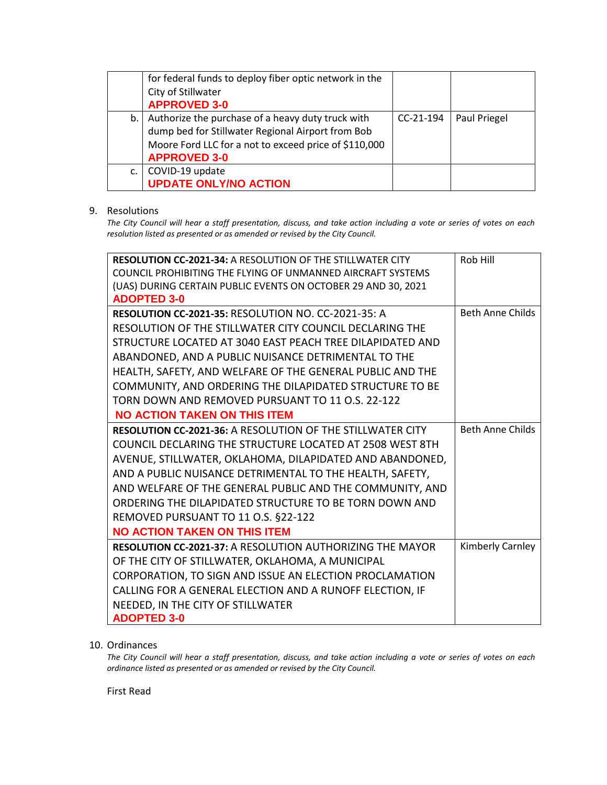|    | for federal funds to deploy fiber optic network in the<br>City of Stillwater<br><b>APPROVED 3-0</b>                                                                                    |             |              |
|----|----------------------------------------------------------------------------------------------------------------------------------------------------------------------------------------|-------------|--------------|
| b. | Authorize the purchase of a heavy duty truck with<br>dump bed for Stillwater Regional Airport from Bob<br>Moore Ford LLC for a not to exceed price of \$110,000<br><b>APPROVED 3-0</b> | $CC-21-194$ | Paul Priegel |
| c. | COVID-19 update<br><b>UPDATE ONLY/NO ACTION</b>                                                                                                                                        |             |              |

## 9. Resolutions

*The City Council will hear a staff presentation, discuss, and take action including a vote or series of votes on each resolution listed as presented or as amended or revised by the City Council.* 

| RESOLUTION CC-2021-34: A RESOLUTION OF THE STILLWATER CITY         | Rob Hill                |
|--------------------------------------------------------------------|-------------------------|
| <b>COUNCIL PROHIBITING THE FLYING OF UNMANNED AIRCRAFT SYSTEMS</b> |                         |
| (UAS) DURING CERTAIN PUBLIC EVENTS ON OCTOBER 29 AND 30, 2021      |                         |
| <b>ADOPTED 3-0</b>                                                 |                         |
| RESOLUTION CC-2021-35: RESOLUTION NO. CC-2021-35: A                | <b>Beth Anne Childs</b> |
| RESOLUTION OF THE STILLWATER CITY COUNCIL DECLARING THE            |                         |
| STRUCTURE LOCATED AT 3040 EAST PEACH TREE DILAPIDATED AND          |                         |
| ABANDONED, AND A PUBLIC NUISANCE DETRIMENTAL TO THE                |                         |
| HEALTH, SAFETY, AND WELFARE OF THE GENERAL PUBLIC AND THE          |                         |
| COMMUNITY, AND ORDERING THE DILAPIDATED STRUCTURE TO BE            |                         |
| TORN DOWN AND REMOVED PURSUANT TO 11 O.S. 22-122                   |                         |
| <b>NO ACTION TAKEN ON THIS ITEM</b>                                |                         |
| <b>RESOLUTION CC-2021-36: A RESOLUTION OF THE STILLWATER CITY</b>  | <b>Beth Anne Childs</b> |
| COUNCIL DECLARING THE STRUCTURE LOCATED AT 2508 WEST 8TH           |                         |
| AVENUE, STILLWATER, OKLAHOMA, DILAPIDATED AND ABANDONED,           |                         |
| AND A PUBLIC NUISANCE DETRIMENTAL TO THE HEALTH, SAFETY,           |                         |
| AND WELFARE OF THE GENERAL PUBLIC AND THE COMMUNITY, AND           |                         |
| ORDERING THE DILAPIDATED STRUCTURE TO BE TORN DOWN AND             |                         |
| REMOVED PURSUANT TO 11 O.S. §22-122                                |                         |
| <b>NO ACTION TAKEN ON THIS ITEM</b>                                |                         |
| <b>RESOLUTION CC-2021-37: A RESOLUTION AUTHORIZING THE MAYOR</b>   | Kimberly Carnley        |
| OF THE CITY OF STILLWATER, OKLAHOMA, A MUNICIPAL                   |                         |
| CORPORATION, TO SIGN AND ISSUE AN ELECTION PROCLAMATION            |                         |
| CALLING FOR A GENERAL ELECTION AND A RUNOFF ELECTION, IF           |                         |
| NEEDED, IN THE CITY OF STILLWATER                                  |                         |
| <b>ADOPTED 3-0</b>                                                 |                         |

## 10. Ordinances

*The City Council will hear a staff presentation, discuss, and take action including a vote or series of votes on each ordinance listed as presented or as amended or revised by the City Council.*

First Read